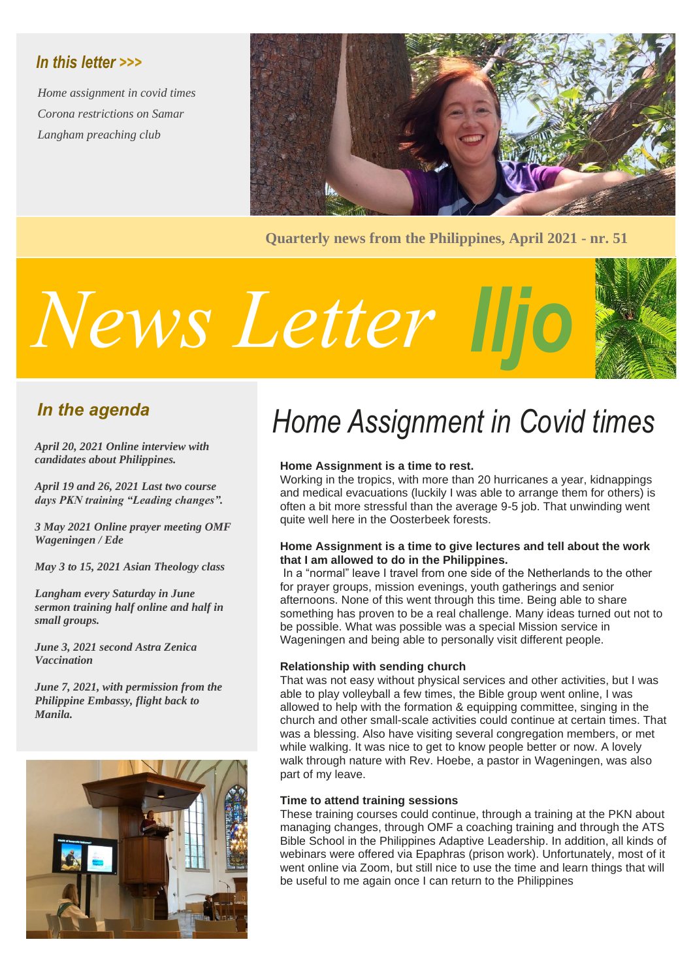# *In this letter >>>*

*Home assignment in covid times Corona restrictions on Samar Langham preaching club*



**Quarterly news from the Philippines, April 2021 - nr. 51**

# *Iljo News Letter*



# *In the agenda*

*April 20, 2021 Online interview with candidates about Philippines.*

*April 19 and 26, 2021 Last two course days PKN training "Leading changes".*

*3 May 2021 Online prayer meeting OMF Wageningen / Ede*

*May 3 to 15, 2021 Asian Theology class*

*Langham every Saturday in June sermon training half online and half in small groups.*

*June 3, 2021 second Astra Zenica Vaccination*

*June 7, 2021, with permission from the Philippine Embassy, flight back to Manila.*



# *Home Assignment in Covid times*

#### **Home Assignment is a time to rest.**

Working in the tropics, with more than 20 hurricanes a year, kidnappings and medical evacuations (luckily I was able to arrange them for others) is often a bit more stressful than the average 9-5 job. That unwinding went quite well here in the Oosterbeek forests.

#### **Home Assignment is a time to give lectures and tell about the work that I am allowed to do in the Philippines.**

In a "normal" leave I travel from one side of the Netherlands to the other for prayer groups, mission evenings, youth gatherings and senior afternoons. None of this went through this time. Being able to share something has proven to be a real challenge. Many ideas turned out not to be possible. What was possible was a special Mission service in Wageningen and being able to personally visit different people.

#### **Relationship with sending church**

That was not easy without physical services and other activities, but I was able to play volleyball a few times, the Bible group went online, I was allowed to help with the formation & equipping committee, singing in the church and other small-scale activities could continue at certain times. That was a blessing. Also have visiting several congregation members, or met while walking. It was nice to get to know people better or now. A lovely walk through nature with Rev. Hoebe, a pastor in Wageningen, was also part of my leave.

#### **Time to attend training sessions**

These training courses could continue, through a training at the PKN about managing changes, through OMF a coaching training and through the ATS Bible School in the Philippines Adaptive Leadership. In addition, all kinds of webinars were offered via Epaphras (prison work). Unfortunately, most of it went online via Zoom, but still nice to use the time and learn things that will be useful to me again once I can return to the Philippines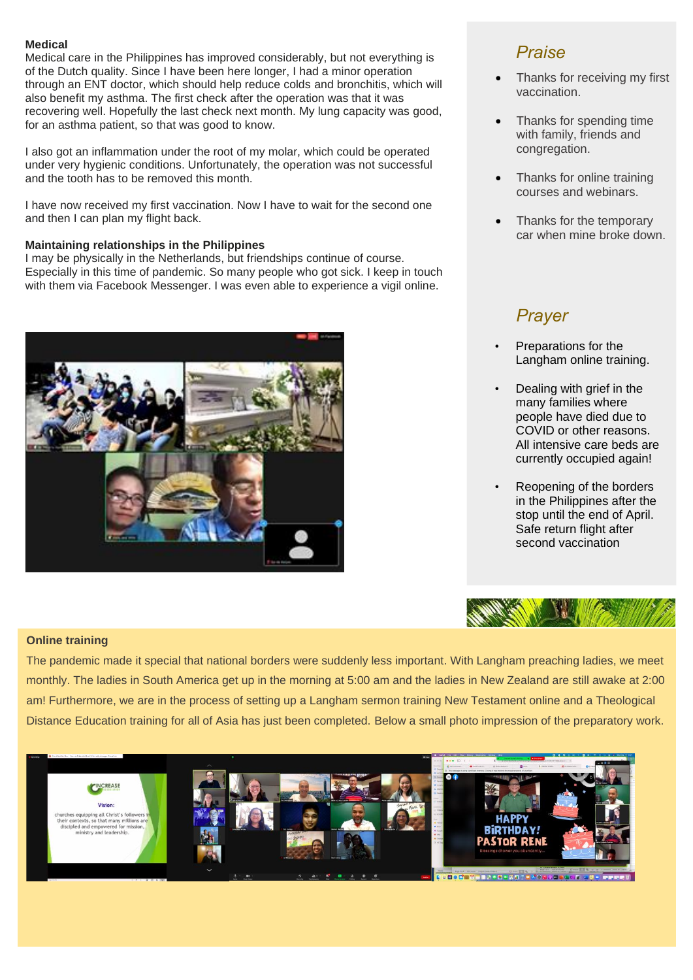#### **Medical**

Medical care in the Philippines has improved considerably, but not everything is of the Dutch quality. Since I have been here longer, I had a minor operation through an ENT doctor, which should help reduce colds and bronchitis, which will also benefit my asthma. The first check after the operation was that it was recovering well. Hopefully the last check next month. My lung capacity was good, for an asthma patient, so that was good to know.

I also got an inflammation under the root of my molar, which could be operated under very hygienic conditions. Unfortunately, the operation was not successful and the tooth has to be removed this month.

I have now received my first vaccination. Now I have to wait for the second one and then I can plan my flight back.

#### **Maintaining relationships in the Philippines**

I may be physically in the Netherlands, but friendships continue of course. Especially in this time of pandemic. So many people who got sick. I keep in touch with them via Facebook Messenger. I was even able to experience a vigil online.



### *Praise*

- Thanks for receiving my first vaccination.
- Thanks for spending time with family, friends and congregation.
- Thanks for online training courses and webinars.
- Thanks for the temporary car when mine broke down.

# *Prayer*

- Preparations for the Langham online training.
- Dealing with grief in the many families where people have died due to COVID or other reasons. All intensive care beds are currently occupied again!
- Reopening of the borders in the Philippines after the stop until the end of April. Safe return flight after second vaccination



#### **Online training**

The pandemic made it special that national borders were suddenly less important. With Langham preaching ladies, we meet monthly. The ladies in South America get up in the morning at 5:00 am and the ladies in New Zealand are still awake at 2:00 am! Furthermore, we are in the process of setting up a Langham sermon training New Testament online and a Theological Distance Education training for all of Asia has just been completed. Below a small photo impression of the preparatory work.